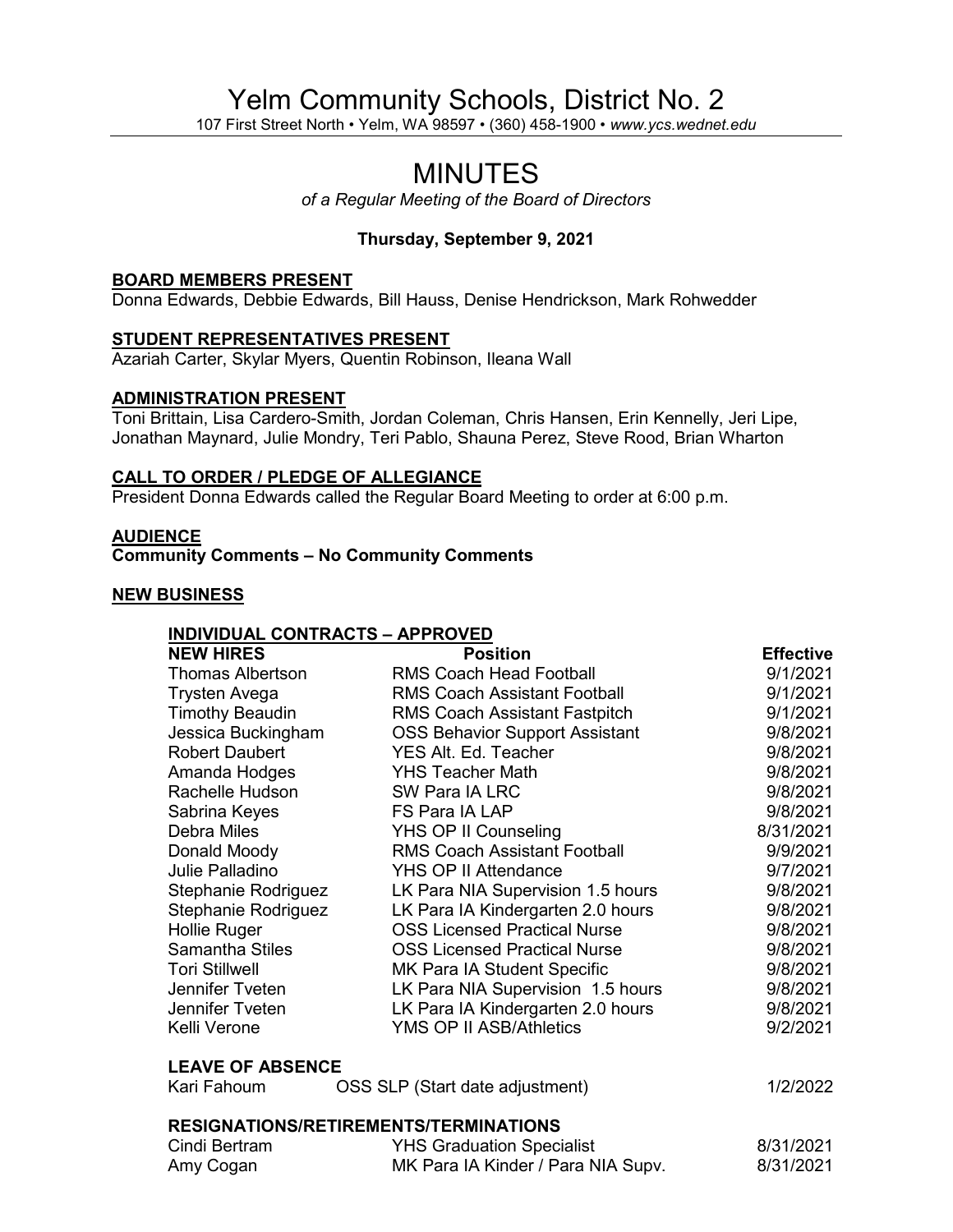# Yelm Community Schools, District No. 2

107 First Street North • Yelm, WA 98597 • (360) 458-1900 • *www.ycs.wednet.edu*

# MINUTES

*of a Regular Meeting of the Board of Directors*

# **Thursday, September 9, 2021**

#### **BOARD MEMBERS PRESENT**

Donna Edwards, Debbie Edwards, Bill Hauss, Denise Hendrickson, Mark Rohwedder

# **STUDENT REPRESENTATIVES PRESENT**

Azariah Carter, Skylar Myers, Quentin Robinson, Ileana Wall

#### **ADMINISTRATION PRESENT**

Toni Brittain, Lisa Cardero-Smith, Jordan Coleman, Chris Hansen, Erin Kennelly, Jeri Lipe, Jonathan Maynard, Julie Mondry, Teri Pablo, Shauna Perez, Steve Rood, Brian Wharton

#### **CALL TO ORDER / PLEDGE OF ALLEGIANCE**

President Donna Edwards called the Regular Board Meeting to order at 6:00 p.m.

# **AUDIENCE**

**Community Comments – No Community Comments**

# **NEW BUSINESS**

#### **INDIVIDUAL CONTRACTS – APPROVED**

| <b>NEW HIRES</b>                      | <b>Position</b>                       | <b>Effective</b> |  |
|---------------------------------------|---------------------------------------|------------------|--|
| Thomas Albertson                      | <b>RMS Coach Head Football</b>        | 9/1/2021         |  |
| <b>Trysten Avega</b>                  | <b>RMS Coach Assistant Football</b>   | 9/1/2021         |  |
| <b>Timothy Beaudin</b>                | <b>RMS Coach Assistant Fastpitch</b>  | 9/1/2021         |  |
| Jessica Buckingham                    | <b>OSS Behavior Support Assistant</b> | 9/8/2021         |  |
| <b>Robert Daubert</b>                 | YES Alt. Ed. Teacher                  | 9/8/2021         |  |
| Amanda Hodges                         | <b>YHS Teacher Math</b>               | 9/8/2021         |  |
| Rachelle Hudson                       | SW Para IA LRC                        | 9/8/2021         |  |
| Sabrina Keyes                         | FS Para IA LAP                        | 9/8/2021         |  |
| <b>Debra Miles</b>                    | YHS OP II Counseling                  | 8/31/2021        |  |
| Donald Moody                          | <b>RMS Coach Assistant Football</b>   | 9/9/2021         |  |
| Julie Palladino                       | YHS OP II Attendance                  | 9/7/2021         |  |
| Stephanie Rodriguez                   | LK Para NIA Supervision 1.5 hours     | 9/8/2021         |  |
| Stephanie Rodriguez                   | LK Para IA Kindergarten 2.0 hours     | 9/8/2021         |  |
| Hollie Ruger                          | <b>OSS Licensed Practical Nurse</b>   | 9/8/2021         |  |
| <b>Samantha Stiles</b>                | <b>OSS Licensed Practical Nurse</b>   | 9/8/2021         |  |
| <b>Tori Stillwell</b>                 | MK Para IA Student Specific           | 9/8/2021         |  |
| Jennifer Tveten                       | LK Para NIA Supervision 1.5 hours     | 9/8/2021         |  |
| Jennifer Tveten                       | LK Para IA Kindergarten 2.0 hours     | 9/8/2021         |  |
| Kelli Verone                          | <b>YMS OP II ASB/Athletics</b>        | 9/2/2021         |  |
| <b>LEAVE OF ABSENCE</b>               |                                       |                  |  |
| Kari Fahoum                           | OSS SLP (Start date adjustment)       | 1/2/2022         |  |
| RESIGNATIONS/RETIREMENTS/TERMINATIONS |                                       |                  |  |
| Cindi Bertram                         | <b>YHS Graduation Specialist</b>      | 8/31/2021        |  |
| Amy Cogan                             | MK Para IA Kinder / Para NIA Supv.    | 8/31/2021        |  |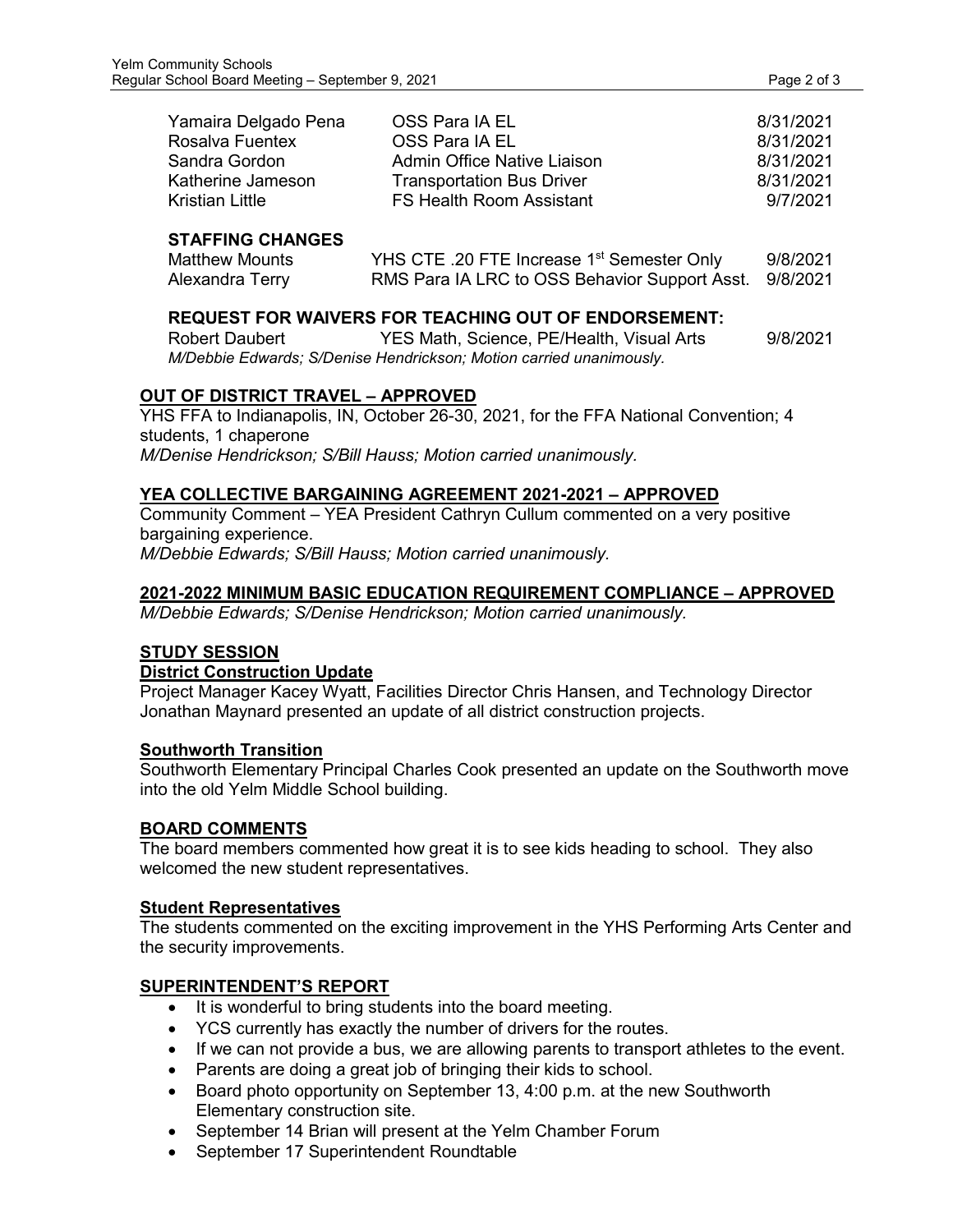| Yamaira Delgado Pena | OSS Para IA EL                   | 8/31/2021 |
|----------------------|----------------------------------|-----------|
| Rosalva Fuentex      | OSS Para IA EL                   | 8/31/2021 |
| Sandra Gordon        | Admin Office Native Liaison      | 8/31/2021 |
| Katherine Jameson    | <b>Transportation Bus Driver</b> | 8/31/2021 |
| Kristian Little      | FS Health Room Assistant         | 9/7/2021  |

# **STAFFING CHANGES**

| Matthew Mounts  | YHS CTE .20 FTE Increase 1 <sup>st</sup> Semester Only | 9/8/2021 |
|-----------------|--------------------------------------------------------|----------|
| Alexandra Terry | RMS Para IA LRC to OSS Behavior Support Asst. 9/8/2021 |          |

# **REQUEST FOR WAIVERS FOR TEACHING OUT OF ENDORSEMENT:**

Robert Daubert **YES Math, Science, PE/Health, Visual Arts** 9/8/2021 *M/Debbie Edwards; S/Denise Hendrickson; Motion carried unanimously.*

# **OUT OF DISTRICT TRAVEL – APPROVED**

YHS FFA to Indianapolis, IN, October 26-30, 2021, for the FFA National Convention; 4 students, 1 chaperone *M/Denise Hendrickson; S/Bill Hauss; Motion carried unanimously.*

# **YEA COLLECTIVE BARGAINING AGREEMENT 2021-2021 – APPROVED**

Community Comment – YEA President Cathryn Cullum commented on a very positive bargaining experience. *M/Debbie Edwards; S/Bill Hauss; Motion carried unanimously.*

# **2021-2022 MINIMUM BASIC EDUCATION REQUIREMENT COMPLIANCE – APPROVED**

*M/Debbie Edwards; S/Denise Hendrickson; Motion carried unanimously.*

# **STUDY SESSION**

# **District Construction Update**

Project Manager Kacey Wyatt, Facilities Director Chris Hansen, and Technology Director Jonathan Maynard presented an update of all district construction projects.

# **Southworth Transition**

Southworth Elementary Principal Charles Cook presented an update on the Southworth move into the old Yelm Middle School building.

# **BOARD COMMENTS**

The board members commented how great it is to see kids heading to school. They also welcomed the new student representatives.

# **Student Representatives**

The students commented on the exciting improvement in the YHS Performing Arts Center and the security improvements.

# **SUPERINTENDENT'S REPORT**

- It is wonderful to bring students into the board meeting.
- YCS currently has exactly the number of drivers for the routes.
- If we can not provide a bus, we are allowing parents to transport athletes to the event.
- Parents are doing a great job of bringing their kids to school.
- Board photo opportunity on September 13, 4:00 p.m. at the new Southworth Elementary construction site.
- September 14 Brian will present at the Yelm Chamber Forum
- September 17 Superintendent Roundtable